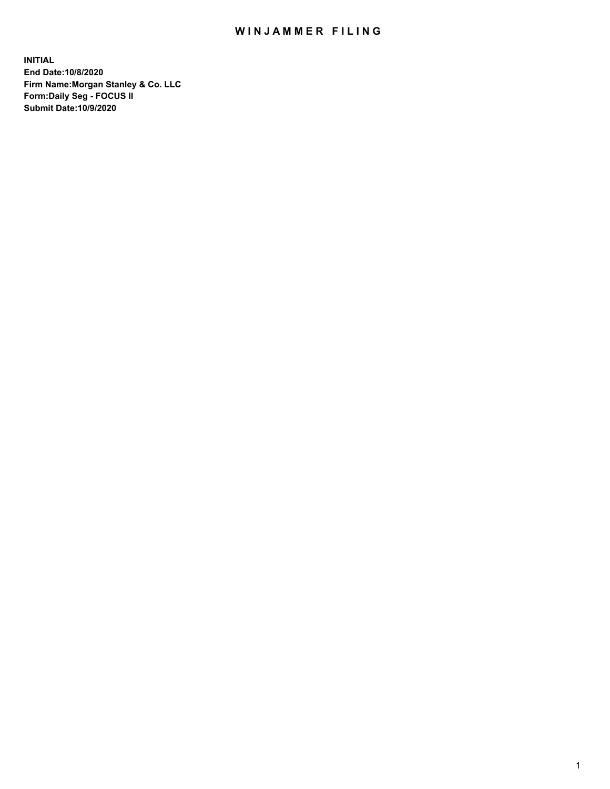## WIN JAMMER FILING

**INITIAL End Date:10/8/2020 Firm Name:Morgan Stanley & Co. LLC Form:Daily Seg - FOCUS II Submit Date:10/9/2020**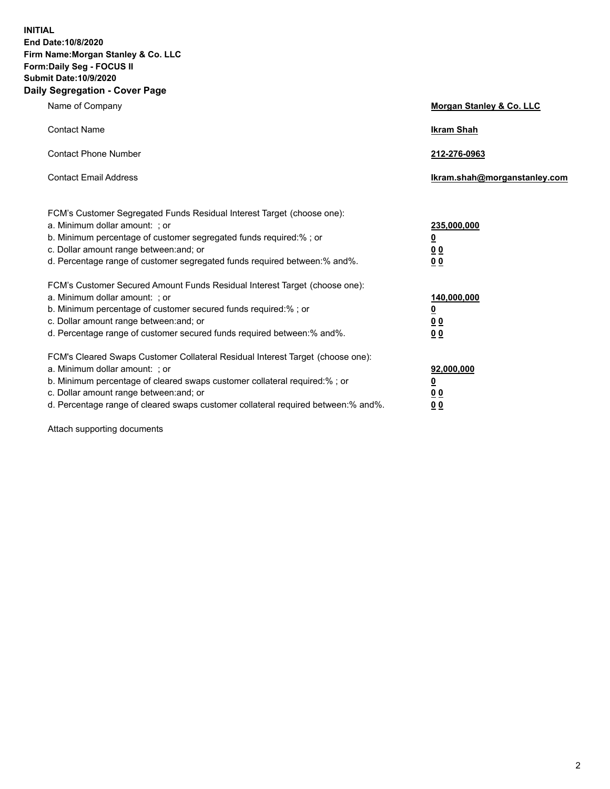**INITIAL End Date:10/8/2020 Firm Name:Morgan Stanley & Co. LLC Form:Daily Seg - FOCUS II Submit Date:10/9/2020 Daily Segregation - Cover Page**

| Name of Company                                                                                                                                                                                                                                                                                                               | Morgan Stanley & Co. LLC                               |
|-------------------------------------------------------------------------------------------------------------------------------------------------------------------------------------------------------------------------------------------------------------------------------------------------------------------------------|--------------------------------------------------------|
| <b>Contact Name</b>                                                                                                                                                                                                                                                                                                           | <b>Ikram Shah</b>                                      |
| <b>Contact Phone Number</b>                                                                                                                                                                                                                                                                                                   | 212-276-0963                                           |
| <b>Contact Email Address</b>                                                                                                                                                                                                                                                                                                  | Ikram.shah@morganstanley.com                           |
| FCM's Customer Segregated Funds Residual Interest Target (choose one):<br>a. Minimum dollar amount: ; or<br>b. Minimum percentage of customer segregated funds required:% ; or<br>c. Dollar amount range between: and; or<br>d. Percentage range of customer segregated funds required between:% and%.                        | 235,000,000<br><u>0</u><br><u>00</u><br>0 <sup>0</sup> |
| FCM's Customer Secured Amount Funds Residual Interest Target (choose one):<br>a. Minimum dollar amount: ; or<br>b. Minimum percentage of customer secured funds required:%; or<br>c. Dollar amount range between: and; or<br>d. Percentage range of customer secured funds required between:% and%.                           | 140,000,000<br><u>0</u><br><u>00</u><br>0 <sub>0</sub> |
| FCM's Cleared Swaps Customer Collateral Residual Interest Target (choose one):<br>a. Minimum dollar amount: ; or<br>b. Minimum percentage of cleared swaps customer collateral required:%; or<br>c. Dollar amount range between: and; or<br>d. Percentage range of cleared swaps customer collateral required between:% and%. | 92,000,000<br><u>0</u><br>0 Q<br>00                    |

Attach supporting documents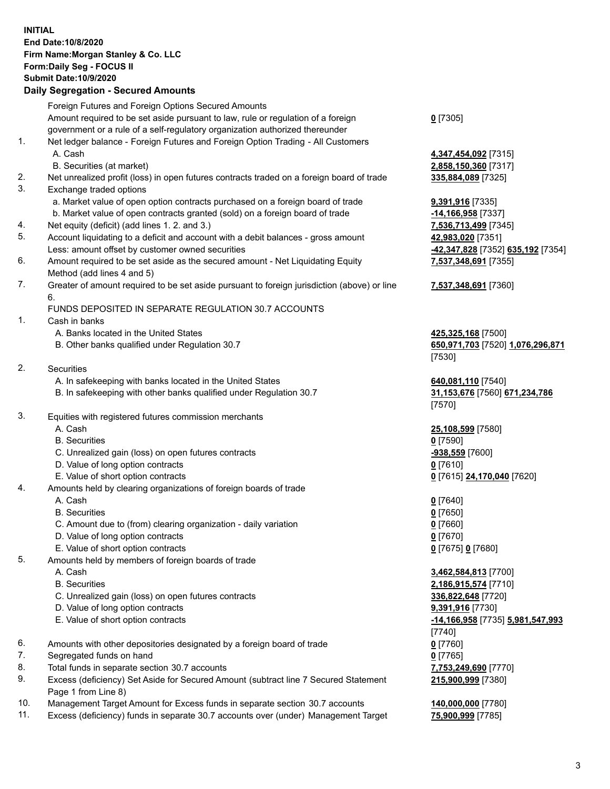## **INITIAL End Date:10/8/2020 Firm Name:Morgan Stanley & Co. LLC Form:Daily Seg - FOCUS II Submit Date:10/9/2020**

## **Daily Segregation - Secured Amounts**

Foreign Futures and Foreign Options Secured Amounts Amount required to be set aside pursuant to law, rule or regulation of a foreign government or a rule of a self-regulatory organization authorized thereunder 1. Net ledger balance - Foreign Futures and Foreign Option Trading - All Customers A. Cash **4,347,454,092** [7315] B. Securities (at market) **2,858,150,360** [7317] 2. Net unrealized profit (loss) in open futures contracts traded on a foreign board of trade **335,884,089** [7325] 3. Exchange traded options a. Market value of open option contracts purchased on a foreign board of trade **9,391,916** [7335] b. Market value of open contracts granted (sold) on a foreign board of trade **-14,166,958** [7337] 4. Net equity (deficit) (add lines 1. 2. and 3.) **7,536,713,499** [7345] 5. Account liquidating to a deficit and account with a debit balances - gross amount **42,983,020** [7351] Less: amount offset by customer owned securities **-42,347,828** [7352] **635,192** [7354] 6. Amount required to be set aside as the secured amount - Net Liquidating Equity Method (add lines 4 and 5) 7. Greater of amount required to be set aside pursuant to foreign jurisdiction (above) or line 6. FUNDS DEPOSITED IN SEPARATE REGULATION 30.7 ACCOUNTS 1. Cash in banks A. Banks located in the United States **425,325,168** [7500] B. Other banks qualified under Regulation 30.7 **650,971,703** [7520] **1,076,296,871** 2. Securities A. In safekeeping with banks located in the United States **640,081,110** [7540] B. In safekeeping with other banks qualified under Regulation 30.7 **31,153,676** [7560] **671,234,786** 3. Equities with registered futures commission merchants A. Cash **25,108,599** [7580] B. Securities **0** [7590] C. Unrealized gain (loss) on open futures contracts **-938,559** [7600] D. Value of long option contracts **0** [7610] E. Value of short option contracts **0** [7615] **24,170,040** [7620] 4. Amounts held by clearing organizations of foreign boards of trade A. Cash **0** [7640] B. Securities **0** [7650] C. Amount due to (from) clearing organization - daily variation **0** [7660] D. Value of long option contracts **0** [7670] E. Value of short option contracts **0** [7675] **0** [7680] 5. Amounts held by members of foreign boards of trade A. Cash **3,462,584,813** [7700] B. Securities **2,186,915,574** [7710] C. Unrealized gain (loss) on open futures contracts **336,822,648** [7720] D. Value of long option contracts **9,391,916** [7730] E. Value of short option contracts **-14,166,958** [7735] **5,981,547,993** 6. Amounts with other depositories designated by a foreign board of trade **0** [7760] 7. Segregated funds on hand **0** [7765] 8. Total funds in separate section 30.7 accounts **7,753,249,690** [7770]

- 9. Excess (deficiency) Set Aside for Secured Amount (subtract line 7 Secured Statement Page 1 from Line 8)
- 10. Management Target Amount for Excess funds in separate section 30.7 accounts **140,000,000** [7780]
- 11. Excess (deficiency) funds in separate 30.7 accounts over (under) Management Target **75,900,999** [7785]

**0** [7305]

**7,537,348,691** [7355]

## **7,537,348,691** [7360]

[7530]

[7570]

[7740] **215,900,999** [7380]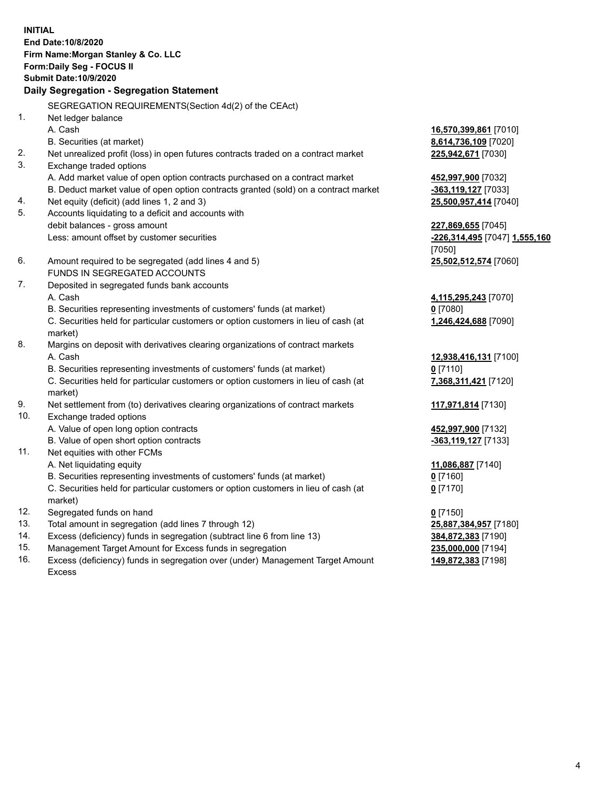**INITIAL End Date:10/8/2020 Firm Name:Morgan Stanley & Co. LLC Form:Daily Seg - FOCUS II Submit Date:10/9/2020 Daily Segregation - Segregation Statement** SEGREGATION REQUIREMENTS(Section 4d(2) of the CEAct) 1. Net ledger balance A. Cash **16,570,399,861** [7010] B. Securities (at market) **8,614,736,109** [7020] 2. Net unrealized profit (loss) in open futures contracts traded on a contract market **225,942,671** [7030] 3. Exchange traded options A. Add market value of open option contracts purchased on a contract market **452,997,900** [7032] B. Deduct market value of open option contracts granted (sold) on a contract market **-363,119,127** [7033] 4. Net equity (deficit) (add lines 1, 2 and 3) **25,500,957,414** [7040] 5. Accounts liquidating to a deficit and accounts with debit balances - gross amount **227,869,655** [7045] Less: amount offset by customer securities **-226,314,495** [7047] **1,555,160** [7050] 6. Amount required to be segregated (add lines 4 and 5) **25,502,512,574** [7060] FUNDS IN SEGREGATED ACCOUNTS 7. Deposited in segregated funds bank accounts A. Cash **4,115,295,243** [7070] B. Securities representing investments of customers' funds (at market) **0** [7080] C. Securities held for particular customers or option customers in lieu of cash (at market) **1,246,424,688** [7090] 8. Margins on deposit with derivatives clearing organizations of contract markets A. Cash **12,938,416,131** [7100] B. Securities representing investments of customers' funds (at market) **0** [7110] C. Securities held for particular customers or option customers in lieu of cash (at market) **7,368,311,421** [7120] 9. Net settlement from (to) derivatives clearing organizations of contract markets **117,971,814** [7130] 10. Exchange traded options A. Value of open long option contracts **452,997,900** [7132] B. Value of open short option contracts **-363,119,127** [7133] 11. Net equities with other FCMs A. Net liquidating equity **11,086,887** [7140] B. Securities representing investments of customers' funds (at market) **0** [7160] C. Securities held for particular customers or option customers in lieu of cash (at market) **0** [7170] 12. Segregated funds on hand **0** [7150] 13. Total amount in segregation (add lines 7 through 12) **25,887,384,957** [7180] 14. Excess (deficiency) funds in segregation (subtract line 6 from line 13) **384,872,383** [7190] 15. Management Target Amount for Excess funds in segregation **235,000,000** [7194]

16. Excess (deficiency) funds in segregation over (under) Management Target Amount Excess

**149,872,383** [7198]